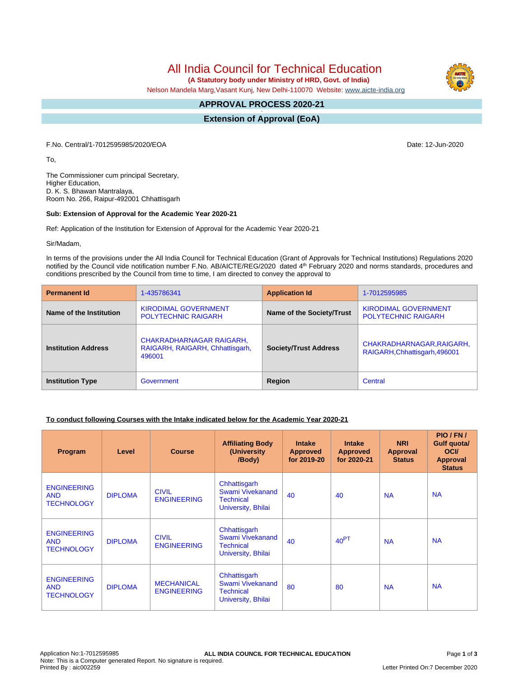All India Council for Technical Education

 **(A Statutory body under Ministry of HRD, Govt. of India)**

Nelson Mandela Marg,Vasant Kunj, New Delhi-110070 Website: [www.aicte-india.org](http://www.aicte-india.org)

#### **APPROVAL PROCESS 2020-21 -**

**Extension of Approval (EoA)**

F.No. Central/1-7012595985/2020/EOA Date: 12-Jun-2020

To,

The Commissioner cum principal Secretary, Higher Education, D. K. S. Bhawan Mantralaya, Room No. 266, Raipur-492001 Chhattisgarh

#### **Sub: Extension of Approval for the Academic Year 2020-21**

Ref: Application of the Institution for Extension of Approval for the Academic Year 2020-21

Sir/Madam,

In terms of the provisions under the All India Council for Technical Education (Grant of Approvals for Technical Institutions) Regulations 2020 notified by the Council vide notification number F.No. AB/AICTE/REG/2020 dated 4<sup>th</sup> February 2020 and norms standards, procedures and conditions prescribed by the Council from time to time, I am directed to convey the approval to

| <b>Permanent Id</b>        | 1-435786341                                                                  | <b>Application Id</b>        | 1-7012595985                                               |  |
|----------------------------|------------------------------------------------------------------------------|------------------------------|------------------------------------------------------------|--|
| Name of the Institution    | <b>KIRODIMAL GOVERNMENT</b><br><b>POLYTECHNIC RAIGARH</b>                    | Name of the Society/Trust    | <b>KIRODIMAL GOVERNMENT</b><br><b>POLYTECHNIC RAIGARH</b>  |  |
| <b>Institution Address</b> | <b>CHAKRADHARNAGAR RAIGARH,</b><br>RAIGARH, RAIGARH, Chhattisgarh,<br>496001 | <b>Society/Trust Address</b> | CHAKRADHARNAGAR, RAIGARH,<br>RAIGARH, Chhattisgarh, 496001 |  |
| <b>Institution Type</b>    | Government                                                                   | Region                       | Central                                                    |  |

## **To conduct following Courses with the Intake indicated below for the Academic Year 2020-21**

| Program                                               | Level          | <b>Course</b>                           | <b>Affiliating Body</b><br>(University)<br>/Body)                          | <b>Intake</b><br><b>Approved</b><br>for 2019-20 | <b>Intake</b><br><b>Approved</b><br>for 2020-21 | <b>NRI</b><br><b>Approval</b><br><b>Status</b> | PIO / FN /<br>Gulf quota/<br><b>OCI</b><br><b>Approval</b><br><b>Status</b> |
|-------------------------------------------------------|----------------|-----------------------------------------|----------------------------------------------------------------------------|-------------------------------------------------|-------------------------------------------------|------------------------------------------------|-----------------------------------------------------------------------------|
| <b>ENGINEERING</b><br><b>AND</b><br><b>TECHNOLOGY</b> | <b>DIPLOMA</b> | <b>CIVIL</b><br><b>ENGINEERING</b>      | Chhattisgarh<br>Swami Vivekanand<br><b>Technical</b><br>University, Bhilai | 40                                              | 40                                              | <b>NA</b>                                      | <b>NA</b>                                                                   |
| <b>ENGINEERING</b><br><b>AND</b><br><b>TECHNOLOGY</b> | <b>DIPLOMA</b> | <b>CIVIL</b><br><b>ENGINEERING</b>      | Chhattisgarh<br>Swami Vivekanand<br><b>Technical</b><br>University, Bhilai | 40                                              | 40 <sup>PT</sup>                                | <b>NA</b>                                      | <b>NA</b>                                                                   |
| <b>ENGINEERING</b><br><b>AND</b><br><b>TECHNOLOGY</b> | <b>DIPLOMA</b> | <b>MECHANICAL</b><br><b>ENGINEERING</b> | Chhattisgarh<br>Swami Vivekanand<br><b>Technical</b><br>University, Bhilai | 80                                              | 80                                              | <b>NA</b>                                      | <b>NA</b>                                                                   |

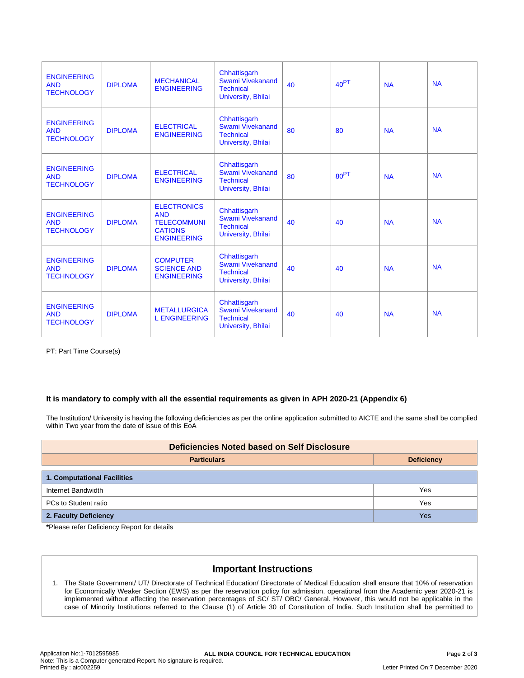| <b>ENGINEERING</b><br><b>AND</b><br><b>TECHNOLOGY</b> | <b>DIPLOMA</b> | <b>MECHANICAL</b><br><b>ENGINEERING</b>                                                        | Chhattisgarh<br>Swami Vivekanand<br><b>Technical</b><br>University, Bhilai        | 40 | 40 <sup>PT</sup> | <b>NA</b> | <b>NA</b> |
|-------------------------------------------------------|----------------|------------------------------------------------------------------------------------------------|-----------------------------------------------------------------------------------|----|------------------|-----------|-----------|
| <b>ENGINEERING</b><br><b>AND</b><br><b>TECHNOLOGY</b> | <b>DIPLOMA</b> | <b>ELECTRICAL</b><br><b>ENGINEERING</b>                                                        | Chhattisgarh<br><b>Swami Vivekanand</b><br><b>Technical</b><br>University, Bhilai | 80 | 80               | <b>NA</b> | <b>NA</b> |
| <b>ENGINEERING</b><br><b>AND</b><br><b>TECHNOLOGY</b> | <b>DIPLOMA</b> | <b>ELECTRICAL</b><br><b>ENGINEERING</b>                                                        | Chhattisgarh<br>Swami Vivekanand<br><b>Technical</b><br>University, Bhilai        | 80 | 80 <sup>PT</sup> | <b>NA</b> | <b>NA</b> |
| <b>ENGINEERING</b><br><b>AND</b><br><b>TECHNOLOGY</b> | <b>DIPLOMA</b> | <b>ELECTRONICS</b><br><b>AND</b><br><b>TELECOMMUNI</b><br><b>CATIONS</b><br><b>ENGINEERING</b> | Chhattisgarh<br><b>Swami Vivekanand</b><br><b>Technical</b><br>University, Bhilai | 40 | 40               | <b>NA</b> | <b>NA</b> |
| <b>ENGINEERING</b><br><b>AND</b><br><b>TECHNOLOGY</b> | <b>DIPLOMA</b> | <b>COMPUTER</b><br><b>SCIENCE AND</b><br><b>ENGINEERING</b>                                    | Chhattisgarh<br>Swami Vivekanand<br><b>Technical</b><br>University, Bhilai        | 40 | 40               | <b>NA</b> | <b>NA</b> |
| <b>ENGINEERING</b><br><b>AND</b><br><b>TECHNOLOGY</b> | <b>DIPLOMA</b> | <b>METALLURGICA</b><br><b>L ENGINEERING</b>                                                    | Chhattisgarh<br>Swami Vivekanand<br><b>Technical</b><br>University, Bhilai        | 40 | 40               | <b>NA</b> | <b>NA</b> |

PT: Part Time Course(s)

## **It is mandatory to comply with all the essential requirements as given in APH 2020-21 (Appendix 6)**

The Institution/ University is having the following deficiencies as per the online application submitted to AICTE and the same shall be complied within Two year from the date of issue of this EoA

| <b>Deficiencies Noted based on Self Disclosure</b> |                   |  |  |  |  |
|----------------------------------------------------|-------------------|--|--|--|--|
| <b>Particulars</b>                                 | <b>Deficiency</b> |  |  |  |  |
| <b>1. Computational Facilities</b>                 |                   |  |  |  |  |
| Internet Bandwidth                                 | Yes               |  |  |  |  |
| PCs to Student ratio                               | Yes               |  |  |  |  |
| 2. Faculty Deficiency                              | Yes               |  |  |  |  |

**\***Please refer Deficiency Report for details

# **Important Instructions**

1. The State Government/ UT/ Directorate of Technical Education/ Directorate of Medical Education shall ensure that 10% of reservation for Economically Weaker Section (EWS) as per the reservation policy for admission, operational from the Academic year 2020-21 is implemented without affecting the reservation percentages of SC/ ST/ OBC/ General. However, this would not be applicable in the case of Minority Institutions referred to the Clause (1) of Article 30 of Constitution of India. Such Institution shall be permitted to